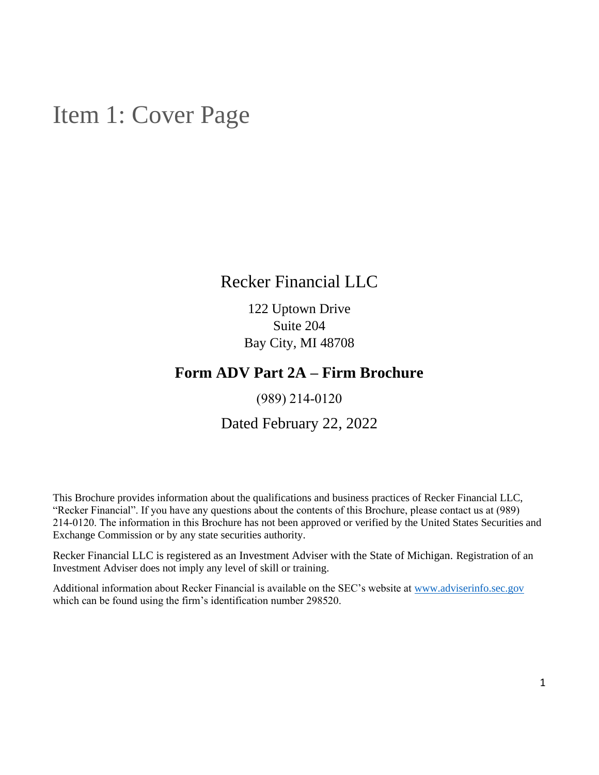## <span id="page-0-0"></span>Item 1: Cover Page

## Recker Financial LLC

122 Uptown Drive Suite 204 Bay City, MI 48708

## **Form ADV Part 2A – Firm Brochure**

(989) 214‑0120

### Dated February 22, 2022

This Brochure provides information about the qualifications and business practices of Recker Financial LLC, "Recker Financial". If you have any questions about the contents of this Brochure, please contact us at (989) 214‑0120. The information in this Brochure has not been approved or verified by the United States Securities and Exchange Commission or by any state securities authority.

Recker Financial LLC is registered as an Investment Adviser with the State of Michigan. Registration of an Investment Adviser does not imply any level of skill or training.

Additional information about Recker Financial is available on the SEC's website at [www.adviserinfo.sec.gov](http://www.adviserinfo.sec.gov/) which can be found using the firm's identification number 298520.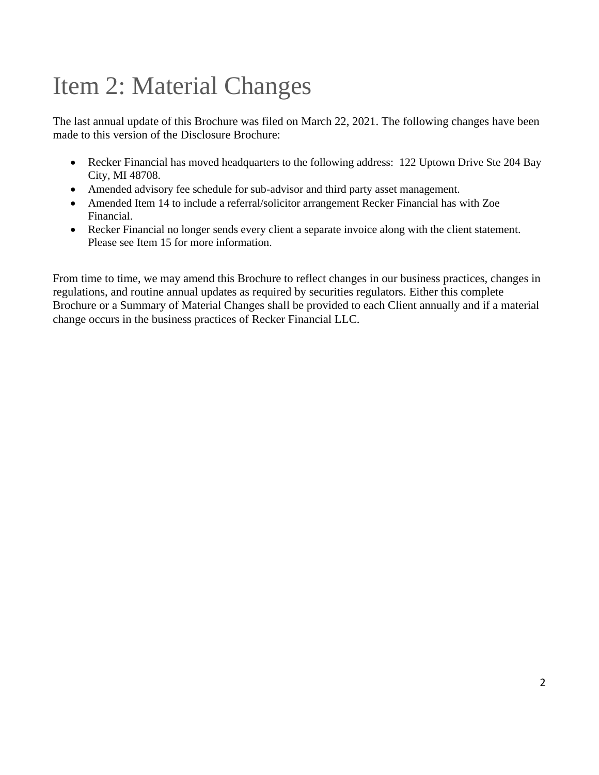# <span id="page-1-0"></span>Item 2: Material Changes

The last annual update of this Brochure was filed on March 22, 2021. The following changes have been made to this version of the Disclosure Brochure:

- Recker Financial has moved headquarters to the following address: 122 Uptown Drive Ste 204 Bay City, MI 48708.
- Amended advisory fee schedule for sub-advisor and third party asset management.
- Amended Item 14 to include a referral/solicitor arrangement Recker Financial has with Zoe Financial.
- Recker Financial no longer sends every client a separate invoice along with the client statement. Please see Item 15 for more information.

From time to time, we may amend this Brochure to reflect changes in our business practices, changes in regulations, and routine annual updates as required by securities regulators. Either this complete Brochure or a Summary of Material Changes shall be provided to each Client annually and if a material change occurs in the business practices of Recker Financial LLC.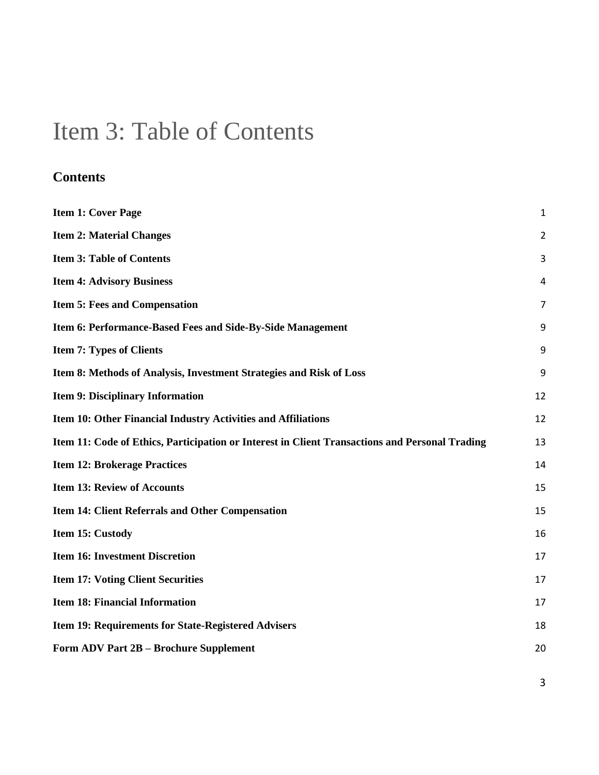## <span id="page-2-0"></span>Item 3: Table of Contents

## **Contents**

| <b>Item 1: Cover Page</b>                                                                      | 1              |
|------------------------------------------------------------------------------------------------|----------------|
| <b>Item 2: Material Changes</b>                                                                | $\overline{2}$ |
| <b>Item 3: Table of Contents</b>                                                               | 3              |
| <b>Item 4: Advisory Business</b>                                                               | 4              |
| <b>Item 5: Fees and Compensation</b>                                                           | 7              |
| Item 6: Performance-Based Fees and Side-By-Side Management                                     | 9              |
| <b>Item 7: Types of Clients</b>                                                                | 9              |
| Item 8: Methods of Analysis, Investment Strategies and Risk of Loss                            | 9              |
| <b>Item 9: Disciplinary Information</b>                                                        | 12             |
| Item 10: Other Financial Industry Activities and Affiliations                                  | 12             |
| Item 11: Code of Ethics, Participation or Interest in Client Transactions and Personal Trading | 13             |
| <b>Item 12: Brokerage Practices</b>                                                            | 14             |
| <b>Item 13: Review of Accounts</b>                                                             | 15             |
| Item 14: Client Referrals and Other Compensation                                               | 15             |
| Item 15: Custody                                                                               | 16             |
| <b>Item 16: Investment Discretion</b>                                                          | 17             |
| <b>Item 17: Voting Client Securities</b>                                                       | 17             |
| <b>Item 18: Financial Information</b>                                                          | 17             |
| Item 19: Requirements for State-Registered Advisers                                            | 18             |
| Form ADV Part 2B - Brochure Supplement                                                         | 20             |

3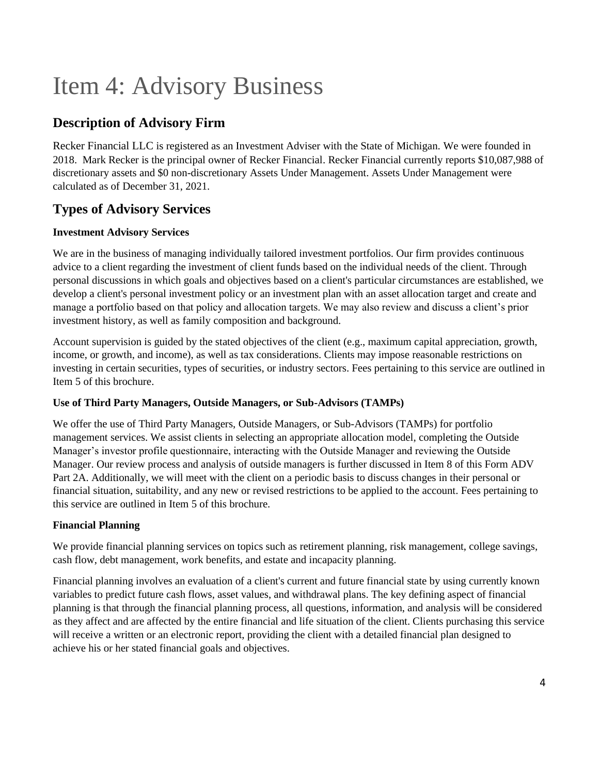# Item 4: Advisory Business

### **Description of Advisory Firm**

Recker Financial LLC is registered as an Investment Adviser with the State of Michigan. We were founded in 2018. Mark Recker is the principal owner of Recker Financial. Recker Financial currently reports \$10,087,988 of discretionary assets and \$0 non-discretionary Assets Under Management. Assets Under Management were calculated as of December 31, 2021.

### **Types of Advisory Services**

#### **Investment Advisory Services**

We are in the business of managing individually tailored investment portfolios. Our firm provides continuous advice to a client regarding the investment of client funds based on the individual needs of the client. Through personal discussions in which goals and objectives based on a client's particular circumstances are established, we develop a client's personal investment policy or an investment plan with an asset allocation target and create and manage a portfolio based on that policy and allocation targets. We may also review and discuss a client's prior investment history, as well as family composition and background.

Account supervision is guided by the stated objectives of the client (e.g., maximum capital appreciation, growth, income, or growth, and income), as well as tax considerations. Clients may impose reasonable restrictions on investing in certain securities, types of securities, or industry sectors. Fees pertaining to this service are outlined in Item 5 of this brochure.

#### **Use of Third Party Managers, Outside Managers, or Sub-Advisors (TAMPs)**

We offer the use of Third Party Managers, Outside Managers, or Sub-Advisors (TAMPs) for portfolio management services. We assist clients in selecting an appropriate allocation model, completing the Outside Manager's investor profile questionnaire, interacting with the Outside Manager and reviewing the Outside Manager. Our review process and analysis of outside managers is further discussed in Item 8 of this Form ADV Part 2A. Additionally, we will meet with the client on a periodic basis to discuss changes in their personal or financial situation, suitability, and any new or revised restrictions to be applied to the account. Fees pertaining to this service are outlined in Item 5 of this brochure.

#### **Financial Planning**

We provide financial planning services on topics such as retirement planning, risk management, college savings, cash flow, debt management, work benefits, and estate and incapacity planning.

Financial planning involves an evaluation of a client's current and future financial state by using currently known variables to predict future cash flows, asset values, and withdrawal plans. The key defining aspect of financial planning is that through the financial planning process, all questions, information, and analysis will be considered as they affect and are affected by the entire financial and life situation of the client. Clients purchasing this service will receive a written or an electronic report, providing the client with a detailed financial plan designed to achieve his or her stated financial goals and objectives.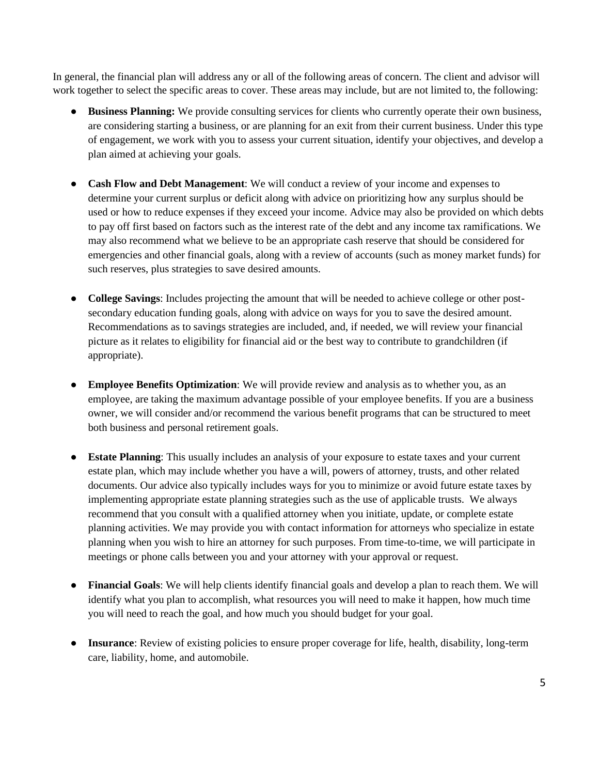In general, the financial plan will address any or all of the following areas of concern. The client and advisor will work together to select the specific areas to cover. These areas may include, but are not limited to, the following:

- **Business Planning:** We provide consulting services for clients who currently operate their own business, are considering starting a business, or are planning for an exit from their current business. Under this type of engagement, we work with you to assess your current situation, identify your objectives, and develop a plan aimed at achieving your goals.
- **Cash Flow and Debt Management**: We will conduct a review of your income and expenses to determine your current surplus or deficit along with advice on prioritizing how any surplus should be used or how to reduce expenses if they exceed your income. Advice may also be provided on which debts to pay off first based on factors such as the interest rate of the debt and any income tax ramifications. We may also recommend what we believe to be an appropriate cash reserve that should be considered for emergencies and other financial goals, along with a review of accounts (such as money market funds) for such reserves, plus strategies to save desired amounts.
- **College Savings**: Includes projecting the amount that will be needed to achieve college or other postsecondary education funding goals, along with advice on ways for you to save the desired amount. Recommendations as to savings strategies are included, and, if needed, we will review your financial picture as it relates to eligibility for financial aid or the best way to contribute to grandchildren (if appropriate).
- **Employee Benefits Optimization**: We will provide review and analysis as to whether you, as an employee, are taking the maximum advantage possible of your employee benefits. If you are a business owner, we will consider and/or recommend the various benefit programs that can be structured to meet both business and personal retirement goals.
- **Estate Planning**: This usually includes an analysis of your exposure to estate taxes and your current estate plan, which may include whether you have a will, powers of attorney, trusts, and other related documents. Our advice also typically includes ways for you to minimize or avoid future estate taxes by implementing appropriate estate planning strategies such as the use of applicable trusts. We always recommend that you consult with a qualified attorney when you initiate, update, or complete estate planning activities. We may provide you with contact information for attorneys who specialize in estate planning when you wish to hire an attorney for such purposes. From time-to-time, we will participate in meetings or phone calls between you and your attorney with your approval or request.
- **Financial Goals**: We will help clients identify financial goals and develop a plan to reach them. We will identify what you plan to accomplish, what resources you will need to make it happen, how much time you will need to reach the goal, and how much you should budget for your goal.
- **Insurance**: Review of existing policies to ensure proper coverage for life, health, disability, long-term care, liability, home, and automobile.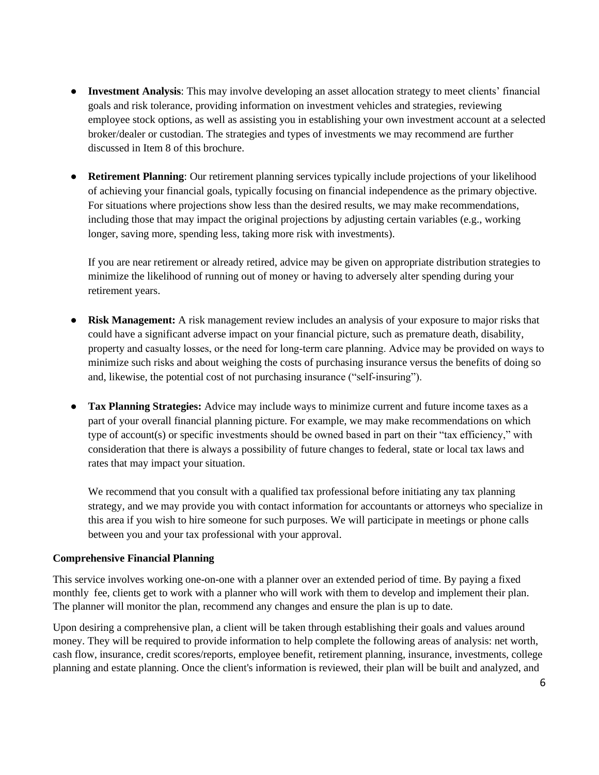- **Investment Analysis**: This may involve developing an asset allocation strategy to meet clients' financial goals and risk tolerance, providing information on investment vehicles and strategies, reviewing employee stock options, as well as assisting you in establishing your own investment account at a selected broker/dealer or custodian. The strategies and types of investments we may recommend are further discussed in Item 8 of this brochure.
- **Retirement Planning**: Our retirement planning services typically include projections of your likelihood of achieving your financial goals, typically focusing on financial independence as the primary objective. For situations where projections show less than the desired results, we may make recommendations, including those that may impact the original projections by adjusting certain variables (e.g., working longer, saving more, spending less, taking more risk with investments).

If you are near retirement or already retired, advice may be given on appropriate distribution strategies to minimize the likelihood of running out of money or having to adversely alter spending during your retirement years.

- **Risk Management:** A risk management review includes an analysis of your exposure to major risks that could have a significant adverse impact on your financial picture, such as premature death, disability, property and casualty losses, or the need for long‐term care planning. Advice may be provided on ways to minimize such risks and about weighing the costs of purchasing insurance versus the benefits of doing so and, likewise, the potential cost of not purchasing insurance ("self‐insuring").
- **Tax Planning Strategies:** Advice may include ways to minimize current and future income taxes as a part of your overall financial planning picture. For example, we may make recommendations on which type of account(s) or specific investments should be owned based in part on their "tax efficiency," with consideration that there is always a possibility of future changes to federal, state or local tax laws and rates that may impact your situation.

We recommend that you consult with a qualified tax professional before initiating any tax planning strategy, and we may provide you with contact information for accountants or attorneys who specialize in this area if you wish to hire someone for such purposes. We will participate in meetings or phone calls between you and your tax professional with your approval.

#### **Comprehensive Financial Planning**

This service involves working one-on-one with a planner over an extended period of time. By paying a fixed monthly fee, clients get to work with a planner who will work with them to develop and implement their plan. The planner will monitor the plan, recommend any changes and ensure the plan is up to date.

Upon desiring a comprehensive plan, a client will be taken through establishing their goals and values around money. They will be required to provide information to help complete the following areas of analysis: net worth, cash flow, insurance, credit scores/reports, employee benefit, retirement planning, insurance, investments, college planning and estate planning. Once the client's information is reviewed, their plan will be built and analyzed, and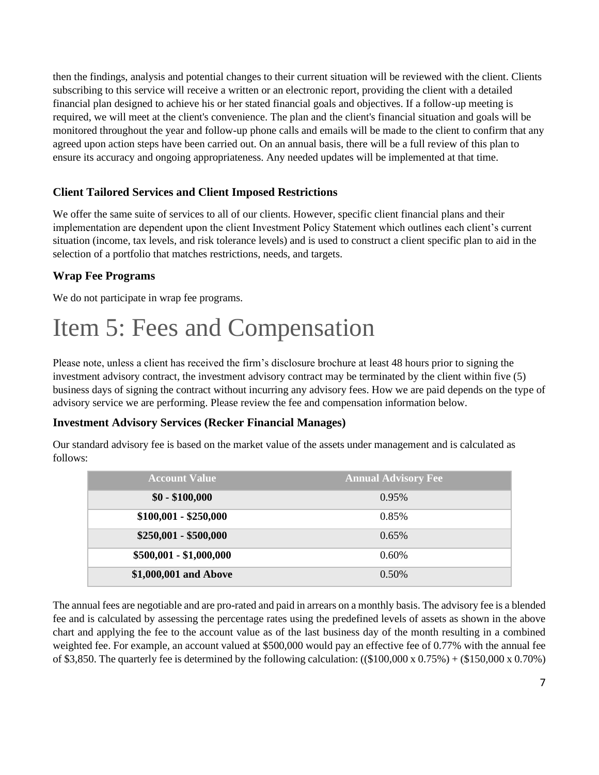then the findings, analysis and potential changes to their current situation will be reviewed with the client. Clients subscribing to this service will receive a written or an electronic report, providing the client with a detailed financial plan designed to achieve his or her stated financial goals and objectives. If a follow-up meeting is required, we will meet at the client's convenience. The plan and the client's financial situation and goals will be monitored throughout the year and follow-up phone calls and emails will be made to the client to confirm that any agreed upon action steps have been carried out. On an annual basis, there will be a full review of this plan to ensure its accuracy and ongoing appropriateness. Any needed updates will be implemented at that time.

#### **Client Tailored Services and Client Imposed Restrictions**

We offer the same suite of services to all of our clients. However, specific client financial plans and their implementation are dependent upon the client Investment Policy Statement which outlines each client's current situation (income, tax levels, and risk tolerance levels) and is used to construct a client specific plan to aid in the selection of a portfolio that matches restrictions, needs, and targets.

#### **Wrap Fee Programs**

We do not participate in wrap fee programs.

## <span id="page-6-0"></span>Item 5: Fees and Compensation

Please note, unless a client has received the firm's disclosure brochure at least 48 hours prior to signing the investment advisory contract, the investment advisory contract may be terminated by the client within five (5) business days of signing the contract without incurring any advisory fees. How we are paid depends on the type of advisory service we are performing. Please review the fee and compensation information below.

#### **Investment Advisory Services (Recker Financial Manages)**

Our standard advisory fee is based on the market value of the assets under management and is calculated as follows:

| <b>Account Value</b>    | <b>Annual Advisory Fee</b> |  |  |  |
|-------------------------|----------------------------|--|--|--|
| $$0 - $100,000$         | 0.95%                      |  |  |  |
| $$100,001 - $250,000$   | 0.85%                      |  |  |  |
| $$250,001 - $500,000$   | 0.65%                      |  |  |  |
| $$500,001 - $1,000,000$ | $0.60\%$                   |  |  |  |
| \$1,000,001 and Above   | $0.50\%$                   |  |  |  |

The annual fees are negotiable and are pro-rated and paid in arrears on a monthly basis. The advisory fee is a blended fee and is calculated by assessing the percentage rates using the predefined levels of assets as shown in the above chart and applying the fee to the account value as of the last business day of the month resulting in a combined weighted fee. For example, an account valued at \$500,000 would pay an effective fee of 0.77% with the annual fee of \$3,850. The quarterly fee is determined by the following calculation:  $((\$100,000 \times 0.75%) + (\$150,000 \times 0.70%)$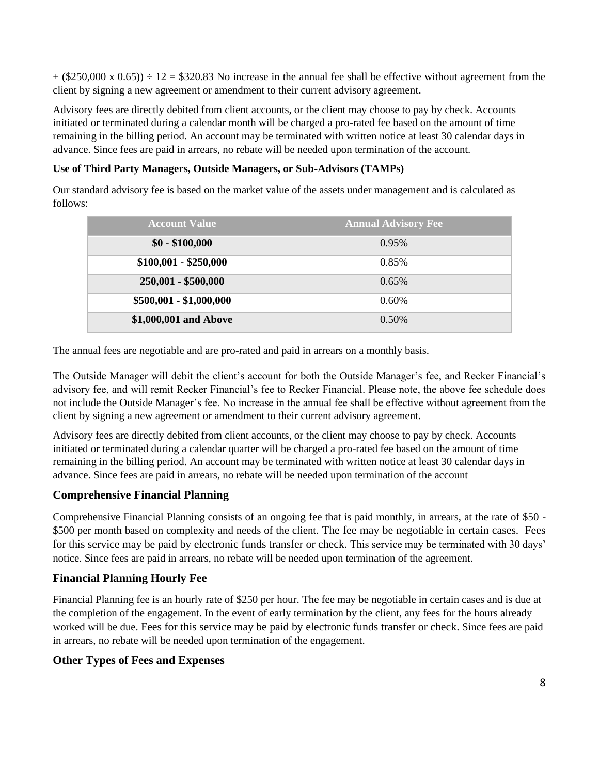$+(\$250,000 \times 0.65)) \div 12 = \$320.83$  No increase in the annual fee shall be effective without agreement from the client by signing a new agreement or amendment to their current advisory agreement.

Advisory fees are directly debited from client accounts, or the client may choose to pay by check. Accounts initiated or terminated during a calendar month will be charged a pro-rated fee based on the amount of time remaining in the billing period. An account may be terminated with written notice at least 30 calendar days in advance. Since fees are paid in arrears, no rebate will be needed upon termination of the account.

#### **Use of Third Party Managers, Outside Managers, or Sub-Advisors (TAMPs)**

Our standard advisory fee is based on the market value of the assets under management and is calculated as follows:

| <b>Account Value</b>    | <b>Annual Advisory Fee</b> |
|-------------------------|----------------------------|
| $$0 - $100,000$         | 0.95%                      |
| $$100,001 - $250,000$   | 0.85%                      |
| 250,001 - \$500,000     | 0.65%                      |
| $$500,001 - $1,000,000$ | $0.60\%$                   |
| \$1,000,001 and Above   | $0.50\%$                   |

The annual fees are negotiable and are pro-rated and paid in arrears on a monthly basis.

The Outside Manager will debit the client's account for both the Outside Manager's fee, and Recker Financial's advisory fee, and will remit Recker Financial's fee to Recker Financial. Please note, the above fee schedule does not include the Outside Manager's fee. No increase in the annual fee shall be effective without agreement from the client by signing a new agreement or amendment to their current advisory agreement.

Advisory fees are directly debited from client accounts, or the client may choose to pay by check. Accounts initiated or terminated during a calendar quarter will be charged a pro-rated fee based on the amount of time remaining in the billing period. An account may be terminated with written notice at least 30 calendar days in advance. Since fees are paid in arrears, no rebate will be needed upon termination of the account

#### **Comprehensive Financial Planning**

Comprehensive Financial Planning consists of an ongoing fee that is paid monthly, in arrears, at the rate of \$50 - \$500 per month based on complexity and needs of the client. The fee may be negotiable in certain cases. Fees for this service may be paid by electronic funds transfer or check. This service may be terminated with 30 days' notice. Since fees are paid in arrears, no rebate will be needed upon termination of the agreement.

#### **Financial Planning Hourly Fee**

Financial Planning fee is an hourly rate of \$250 per hour. The fee may be negotiable in certain cases and is due at the completion of the engagement. In the event of early termination by the client, any fees for the hours already worked will be due. Fees for this service may be paid by electronic funds transfer or check. Since fees are paid in arrears, no rebate will be needed upon termination of the engagement.

#### **Other Types of Fees and Expenses**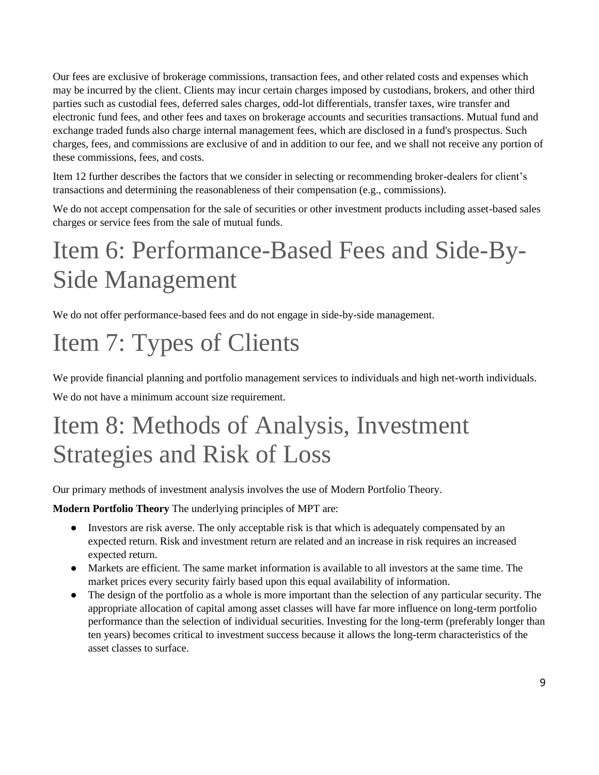Our fees are exclusive of brokerage commissions, transaction fees, and other related costs and expenses which may be incurred by the client. Clients may incur certain charges imposed by custodians, brokers, and other third parties such as custodial fees, deferred sales charges, odd-lot differentials, transfer taxes, wire transfer and electronic fund fees, and other fees and taxes on brokerage accounts and securities transactions. Mutual fund and exchange traded funds also charge internal management fees, which are disclosed in a fund's prospectus. Such charges, fees, and commissions are exclusive of and in addition to our fee, and we shall not receive any portion of these commissions, fees, and costs.

Item 12 further describes the factors that we consider in selecting or recommending broker-dealers for client's transactions and determining the reasonableness of their compensation (e.g., commissions).

We do not accept compensation for the sale of securities or other investment products including asset-based sales charges or service fees from the sale of mutual funds.

## <span id="page-8-0"></span>Item 6: Performance-Based Fees and Side-By-Side Management

We do not offer performance-based fees and do not engage in side-by-side management.

# <span id="page-8-1"></span>Item 7: Types of Clients

We provide financial planning and portfolio management services to individuals and high net-worth individuals. We do not have a minimum account size requirement.

## Item 8: Methods of Analysis, Investment Strategies and Risk of Loss

<span id="page-8-2"></span>Our primary methods of investment analysis involves the use of Modern Portfolio Theory.

**Modern Portfolio Theory** The underlying principles of MPT are:

- Investors are risk averse. The only acceptable risk is that which is adequately compensated by an expected return. Risk and investment return are related and an increase in risk requires an increased expected return.
- Markets are efficient. The same market information is available to all investors at the same time. The market prices every security fairly based upon this equal availability of information.
- The design of the portfolio as a whole is more important than the selection of any particular security. The appropriate allocation of capital among asset classes will have far more influence on long-term portfolio performance than the selection of individual securities. Investing for the long-term (preferably longer than ten years) becomes critical to investment success because it allows the long-term characteristics of the asset classes to surface.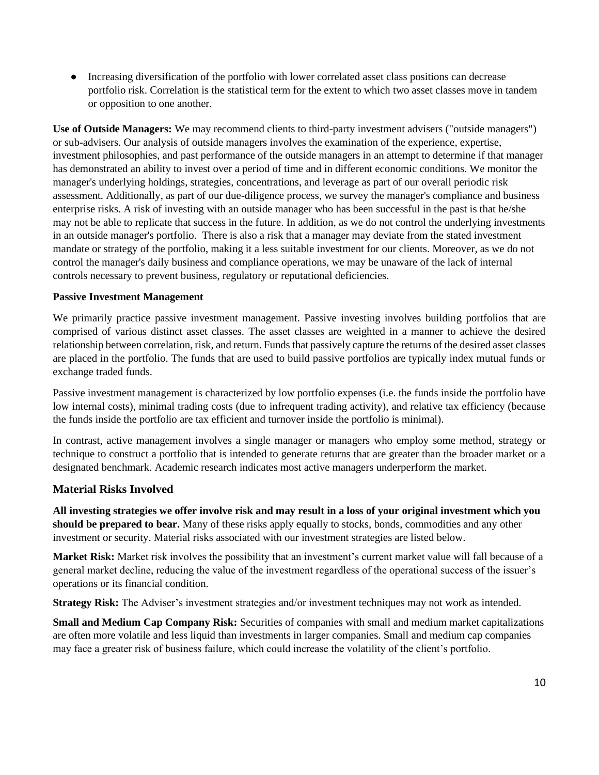● Increasing diversification of the portfolio with lower correlated asset class positions can decrease portfolio risk. Correlation is the statistical term for the extent to which two asset classes move in tandem or opposition to one another.

**Use of Outside Managers:** We may recommend clients to third-party investment advisers ("outside managers") or sub-advisers. Our analysis of outside managers involves the examination of the experience, expertise, investment philosophies, and past performance of the outside managers in an attempt to determine if that manager has demonstrated an ability to invest over a period of time and in different economic conditions. We monitor the manager's underlying holdings, strategies, concentrations, and leverage as part of our overall periodic risk assessment. Additionally, as part of our due-diligence process, we survey the manager's compliance and business enterprise risks. A risk of investing with an outside manager who has been successful in the past is that he/she may not be able to replicate that success in the future. In addition, as we do not control the underlying investments in an outside manager's portfolio. There is also a risk that a manager may deviate from the stated investment mandate or strategy of the portfolio, making it a less suitable investment for our clients. Moreover, as we do not control the manager's daily business and compliance operations, we may be unaware of the lack of internal controls necessary to prevent business, regulatory or reputational deficiencies.

#### **Passive Investment Management**

We primarily practice passive investment management. Passive investing involves building portfolios that are comprised of various distinct asset classes. The asset classes are weighted in a manner to achieve the desired relationship between correlation, risk, and return. Funds that passively capture the returns of the desired asset classes are placed in the portfolio. The funds that are used to build passive portfolios are typically index mutual funds or exchange traded funds.

Passive investment management is characterized by low portfolio expenses (i.e. the funds inside the portfolio have low internal costs), minimal trading costs (due to infrequent trading activity), and relative tax efficiency (because the funds inside the portfolio are tax efficient and turnover inside the portfolio is minimal).

In contrast, active management involves a single manager or managers who employ some method, strategy or technique to construct a portfolio that is intended to generate returns that are greater than the broader market or a designated benchmark. Academic research indicates most active managers underperform the market.

#### **Material Risks Involved**

**All investing strategies we offer involve risk and may result in a loss of your original investment which you should be prepared to bear.** Many of these risks apply equally to stocks, bonds, commodities and any other investment or security. Material risks associated with our investment strategies are listed below.

**Market Risk:** Market risk involves the possibility that an investment's current market value will fall because of a general market decline, reducing the value of the investment regardless of the operational success of the issuer's operations or its financial condition.

**Strategy Risk:** The Adviser's investment strategies and/or investment techniques may not work as intended.

**Small and Medium Cap Company Risk:** Securities of companies with small and medium market capitalizations are often more volatile and less liquid than investments in larger companies. Small and medium cap companies may face a greater risk of business failure, which could increase the volatility of the client's portfolio.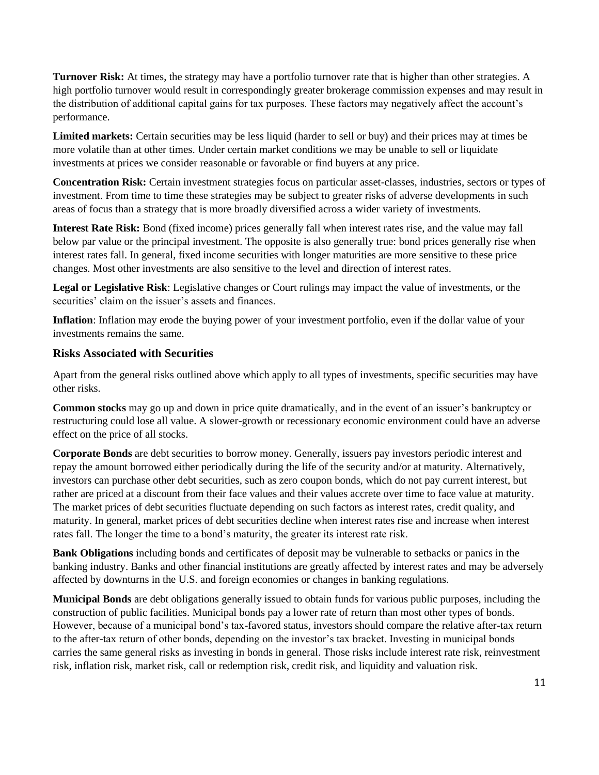**Turnover Risk:** At times, the strategy may have a portfolio turnover rate that is higher than other strategies. A high portfolio turnover would result in correspondingly greater brokerage commission expenses and may result in the distribution of additional capital gains for tax purposes. These factors may negatively affect the account's performance.

**Limited markets:** Certain securities may be less liquid (harder to sell or buy) and their prices may at times be more volatile than at other times. Under certain market conditions we may be unable to sell or liquidate investments at prices we consider reasonable or favorable or find buyers at any price.

**Concentration Risk:** Certain investment strategies focus on particular asset-classes, industries, sectors or types of investment. From time to time these strategies may be subject to greater risks of adverse developments in such areas of focus than a strategy that is more broadly diversified across a wider variety of investments.

**Interest Rate Risk:** Bond (fixed income) prices generally fall when interest rates rise, and the value may fall below par value or the principal investment. The opposite is also generally true: bond prices generally rise when interest rates fall. In general, fixed income securities with longer maturities are more sensitive to these price changes. Most other investments are also sensitive to the level and direction of interest rates.

**Legal or Legislative Risk**: Legislative changes or Court rulings may impact the value of investments, or the securities' claim on the issuer's assets and finances.

**Inflation**: Inflation may erode the buying power of your investment portfolio, even if the dollar value of your investments remains the same.

#### **Risks Associated with Securities**

Apart from the general risks outlined above which apply to all types of investments, specific securities may have other risks.

**Common stocks** may go up and down in price quite dramatically, and in the event of an issuer's bankruptcy or restructuring could lose all value. A slower-growth or recessionary economic environment could have an adverse effect on the price of all stocks.

**Corporate Bonds** are debt securities to borrow money. Generally, issuers pay investors periodic interest and repay the amount borrowed either periodically during the life of the security and/or at maturity. Alternatively, investors can purchase other debt securities, such as zero coupon bonds, which do not pay current interest, but rather are priced at a discount from their face values and their values accrete over time to face value at maturity. The market prices of debt securities fluctuate depending on such factors as interest rates, credit quality, and maturity. In general, market prices of debt securities decline when interest rates rise and increase when interest rates fall. The longer the time to a bond's maturity, the greater its interest rate risk.

**Bank Obligations** including bonds and certificates of deposit may be vulnerable to setbacks or panics in the banking industry. Banks and other financial institutions are greatly affected by interest rates and may be adversely affected by downturns in the U.S. and foreign economies or changes in banking regulations.

**Municipal Bonds** are debt obligations generally issued to obtain funds for various public purposes, including the construction of public facilities. Municipal bonds pay a lower rate of return than most other types of bonds. However, because of a municipal bond's tax-favored status, investors should compare the relative after-tax return to the after-tax return of other bonds, depending on the investor's tax bracket. Investing in municipal bonds carries the same general risks as investing in bonds in general. Those risks include interest rate risk, reinvestment risk, inflation risk, market risk, call or redemption risk, credit risk, and liquidity and valuation risk.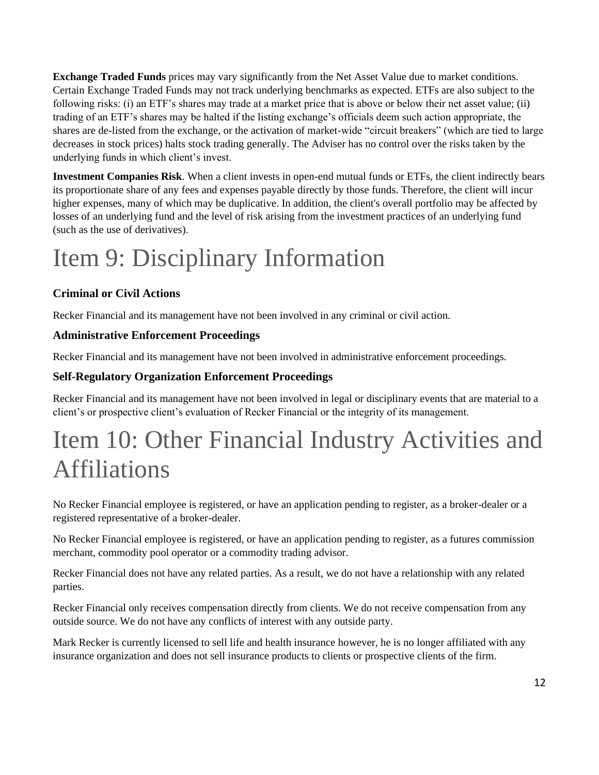**Exchange Traded Funds** prices may vary significantly from the Net Asset Value due to market conditions. Certain Exchange Traded Funds may not track underlying benchmarks as expected. ETFs are also subject to the following risks: (i) an ETF's shares may trade at a market price that is above or below their net asset value; (ii) trading of an ETF's shares may be halted if the listing exchange's officials deem such action appropriate, the shares are de-listed from the exchange, or the activation of market-wide "circuit breakers" (which are tied to large decreases in stock prices) halts stock trading generally. The Adviser has no control over the risks taken by the underlying funds in which client's invest.

**Investment Companies Risk**. When a client invests in open-end mutual funds or ETFs, the client indirectly bears its proportionate share of any fees and expenses payable directly by those funds. Therefore, the client will incur higher expenses, many of which may be duplicative. In addition, the client's overall portfolio may be affected by losses of an underlying fund and the level of risk arising from the investment practices of an underlying fund (such as the use of derivatives).

# <span id="page-11-0"></span>Item 9: Disciplinary Information

### **Criminal or Civil Actions**

Recker Financial and its management have not been involved in any criminal or civil action.

#### **Administrative Enforcement Proceedings**

Recker Financial and its management have not been involved in administrative enforcement proceedings.

#### **Self-Regulatory Organization Enforcement Proceedings**

Recker Financial and its management have not been involved in legal or disciplinary events that are material to a client's or prospective client's evaluation of Recker Financial or the integrity of its management.

## <span id="page-11-1"></span>Item 10: Other Financial Industry Activities and Affiliations

No Recker Financial employee is registered, or have an application pending to register, as a broker-dealer or a registered representative of a broker-dealer.

No Recker Financial employee is registered, or have an application pending to register, as a futures commission merchant, commodity pool operator or a commodity trading advisor.

Recker Financial does not have any related parties. As a result, we do not have a relationship with any related parties.

Recker Financial only receives compensation directly from clients. We do not receive compensation from any outside source. We do not have any conflicts of interest with any outside party.

Mark Recker is currently licensed to sell life and health insurance however, he is no longer affiliated with any insurance organization and does not sell insurance products to clients or prospective clients of the firm.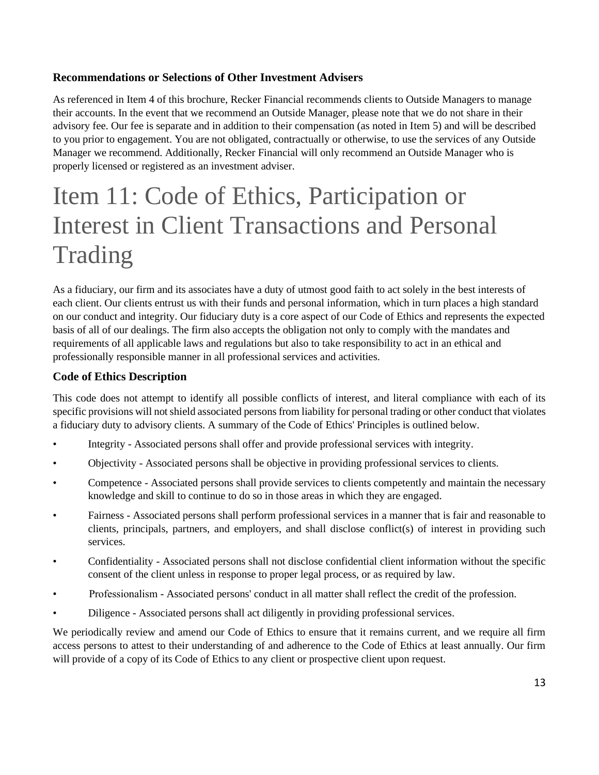#### **Recommendations or Selections of Other Investment Advisers**

As referenced in Item 4 of this brochure, Recker Financial recommends clients to Outside Managers to manage their accounts. In the event that we recommend an Outside Manager, please note that we do not share in their advisory fee. Our fee is separate and in addition to their compensation (as noted in Item 5) and will be described to you prior to engagement. You are not obligated, contractually or otherwise, to use the services of any Outside Manager we recommend. Additionally, Recker Financial will only recommend an Outside Manager who is properly licensed or registered as an investment adviser.

## <span id="page-12-0"></span>Item 11: Code of Ethics, Participation or Interest in Client Transactions and Personal Trading

As a fiduciary, our firm and its associates have a duty of utmost good faith to act solely in the best interests of each client. Our clients entrust us with their funds and personal information, which in turn places a high standard on our conduct and integrity. Our fiduciary duty is a core aspect of our Code of Ethics and represents the expected basis of all of our dealings. The firm also accepts the obligation not only to comply with the mandates and requirements of all applicable laws and regulations but also to take responsibility to act in an ethical and professionally responsible manner in all professional services and activities.

#### **Code of Ethics Description**

This code does not attempt to identify all possible conflicts of interest, and literal compliance with each of its specific provisions will not shield associated persons from liability for personal trading or other conduct that violates a fiduciary duty to advisory clients. A summary of the Code of Ethics' Principles is outlined below.

- Integrity Associated persons shall offer and provide professional services with integrity.
- Objectivity Associated persons shall be objective in providing professional services to clients.
- Competence Associated persons shall provide services to clients competently and maintain the necessary knowledge and skill to continue to do so in those areas in which they are engaged.
- Fairness Associated persons shall perform professional services in a manner that is fair and reasonable to clients, principals, partners, and employers, and shall disclose conflict(s) of interest in providing such services.
- Confidentiality Associated persons shall not disclose confidential client information without the specific consent of the client unless in response to proper legal process, or as required by law.
- Professionalism Associated persons' conduct in all matter shall reflect the credit of the profession.
- Diligence Associated persons shall act diligently in providing professional services.

We periodically review and amend our Code of Ethics to ensure that it remains current, and we require all firm access persons to attest to their understanding of and adherence to the Code of Ethics at least annually. Our firm will provide of a copy of its Code of Ethics to any client or prospective client upon request.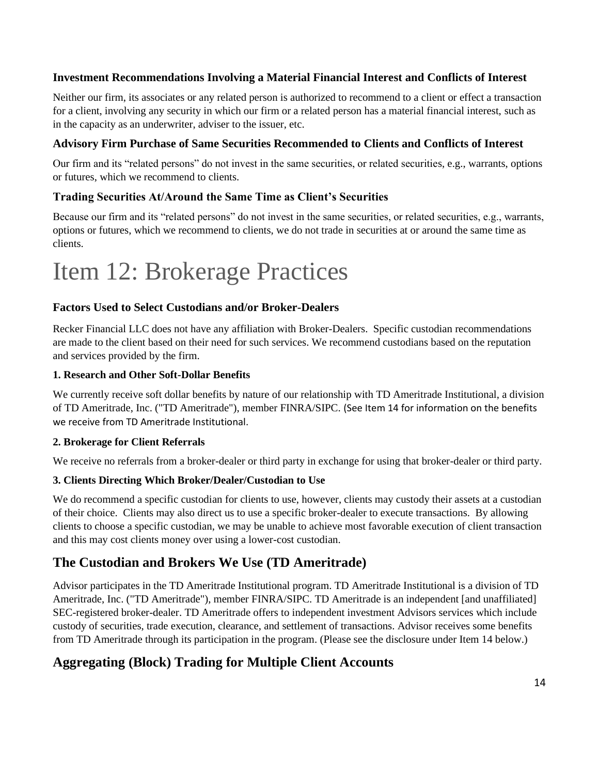#### **Investment Recommendations Involving a Material Financial Interest and Conflicts of Interest**

Neither our firm, its associates or any related person is authorized to recommend to a client or effect a transaction for a client, involving any security in which our firm or a related person has a material financial interest, such as in the capacity as an underwriter, adviser to the issuer, etc.

#### **Advisory Firm Purchase of Same Securities Recommended to Clients and Conflicts of Interest**

Our firm and its "related persons" do not invest in the same securities, or related securities, e.g., warrants, options or futures, which we recommend to clients.

#### **Trading Securities At/Around the Same Time as Client's Securities**

Because our firm and its "related persons" do not invest in the same securities, or related securities, e.g., warrants, options or futures, which we recommend to clients, we do not trade in securities at or around the same time as clients.

## <span id="page-13-0"></span>Item 12: Brokerage Practices

#### **Factors Used to Select Custodians and/or Broker-Dealers**

Recker Financial LLC does not have any affiliation with Broker-Dealers. Specific custodian recommendations are made to the client based on their need for such services. We recommend custodians based on the reputation and services provided by the firm.

#### **1. Research and Other Soft-Dollar Benefits**

We currently receive soft dollar benefits by nature of our relationship with TD Ameritrade Institutional, a division of TD Ameritrade, Inc. ("TD Ameritrade"), member FINRA/SIPC. (See Item 14 for information on the benefits we receive from TD Ameritrade Institutional.

#### **2. Brokerage for Client Referrals**

We receive no referrals from a broker-dealer or third party in exchange for using that broker-dealer or third party.

#### **3. Clients Directing Which Broker/Dealer/Custodian to Use**

We do recommend a specific custodian for clients to use, however, clients may custody their assets at a custodian of their choice. Clients may also direct us to use a specific broker-dealer to execute transactions. By allowing clients to choose a specific custodian, we may be unable to achieve most favorable execution of client transaction and this may cost clients money over using a lower-cost custodian.

#### **The Custodian and Brokers We Use (TD Ameritrade)**

Advisor participates in the TD Ameritrade Institutional program. TD Ameritrade Institutional is a division of TD Ameritrade, Inc. ("TD Ameritrade"), member FINRA/SIPC. TD Ameritrade is an independent [and unaffiliated] SEC-registered broker-dealer. TD Ameritrade offers to independent investment Advisors services which include custody of securities, trade execution, clearance, and settlement of transactions. Advisor receives some benefits from TD Ameritrade through its participation in the program. (Please see the disclosure under Item 14 below.)

### **Aggregating (Block) Trading for Multiple Client Accounts**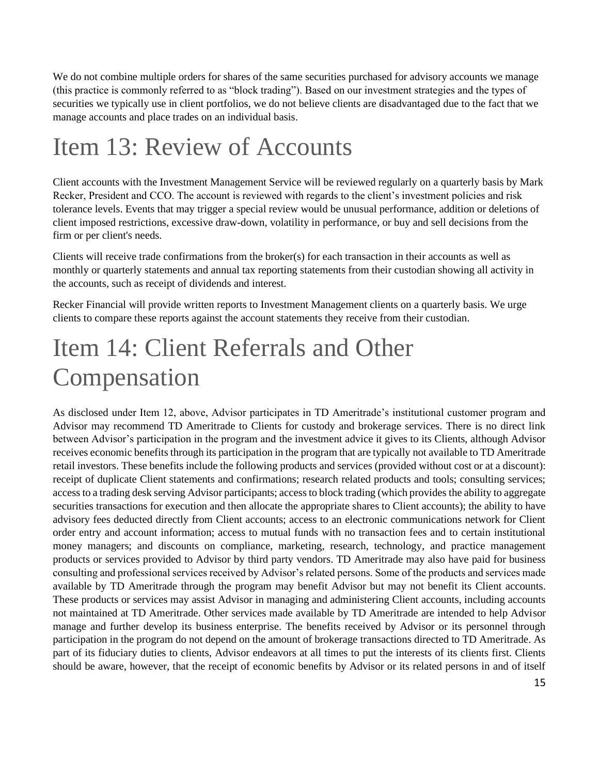We do not combine multiple orders for shares of the same securities purchased for advisory accounts we manage (this practice is commonly referred to as "block trading"). Based on our investment strategies and the types of securities we typically use in client portfolios, we do not believe clients are disadvantaged due to the fact that we manage accounts and place trades on an individual basis.

## <span id="page-14-0"></span>Item 13: Review of Accounts

Client accounts with the Investment Management Service will be reviewed regularly on a quarterly basis by Mark Recker, President and CCO. The account is reviewed with regards to the client's investment policies and risk tolerance levels. Events that may trigger a special review would be unusual performance, addition or deletions of client imposed restrictions, excessive draw-down, volatility in performance, or buy and sell decisions from the firm or per client's needs.

Clients will receive trade confirmations from the broker(s) for each transaction in their accounts as well as monthly or quarterly statements and annual tax reporting statements from their custodian showing all activity in the accounts, such as receipt of dividends and interest.

Recker Financial will provide written reports to Investment Management clients on a quarterly basis. We urge clients to compare these reports against the account statements they receive from their custodian.

## <span id="page-14-1"></span>Item 14: Client Referrals and Other Compensation

As disclosed under Item 12, above, Advisor participates in TD Ameritrade's institutional customer program and Advisor may recommend TD Ameritrade to Clients for custody and brokerage services. There is no direct link between Advisor's participation in the program and the investment advice it gives to its Clients, although Advisor receives economic benefits through its participation in the program that are typically not available to TD Ameritrade retail investors. These benefits include the following products and services (provided without cost or at a discount): receipt of duplicate Client statements and confirmations; research related products and tools; consulting services; access to a trading desk serving Advisor participants; access to block trading (which provides the ability to aggregate securities transactions for execution and then allocate the appropriate shares to Client accounts); the ability to have advisory fees deducted directly from Client accounts; access to an electronic communications network for Client order entry and account information; access to mutual funds with no transaction fees and to certain institutional money managers; and discounts on compliance, marketing, research, technology, and practice management products or services provided to Advisor by third party vendors. TD Ameritrade may also have paid for business consulting and professional services received by Advisor's related persons. Some of the products and services made available by TD Ameritrade through the program may benefit Advisor but may not benefit its Client accounts. These products or services may assist Advisor in managing and administering Client accounts, including accounts not maintained at TD Ameritrade. Other services made available by TD Ameritrade are intended to help Advisor manage and further develop its business enterprise. The benefits received by Advisor or its personnel through participation in the program do not depend on the amount of brokerage transactions directed to TD Ameritrade. As part of its fiduciary duties to clients, Advisor endeavors at all times to put the interests of its clients first. Clients should be aware, however, that the receipt of economic benefits by Advisor or its related persons in and of itself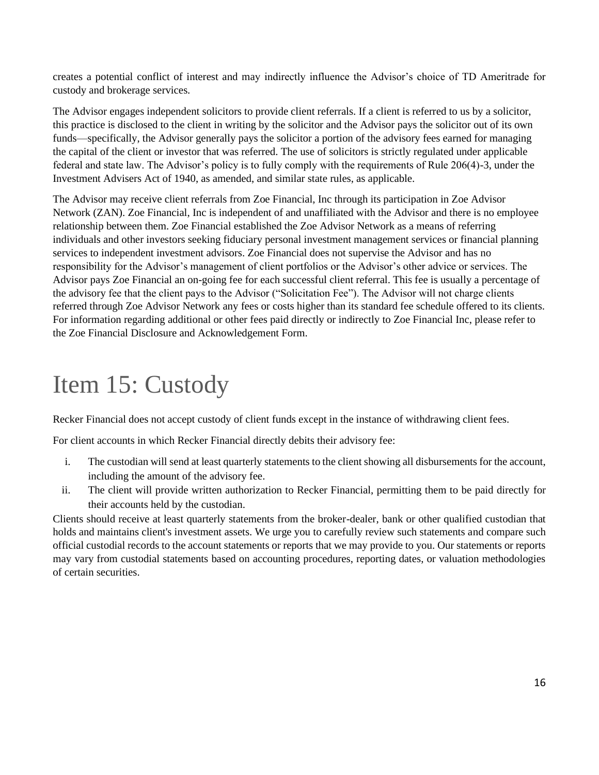creates a potential conflict of interest and may indirectly influence the Advisor's choice of TD Ameritrade for custody and brokerage services.

The Advisor engages independent solicitors to provide client referrals. If a client is referred to us by a solicitor, this practice is disclosed to the client in writing by the solicitor and the Advisor pays the solicitor out of its own funds—specifically, the Advisor generally pays the solicitor a portion of the advisory fees earned for managing the capital of the client or investor that was referred. The use of solicitors is strictly regulated under applicable federal and state law. The Advisor's policy is to fully comply with the requirements of Rule 206(4)-3, under the Investment Advisers Act of 1940, as amended, and similar state rules, as applicable.

The Advisor may receive client referrals from Zoe Financial, Inc through its participation in Zoe Advisor Network (ZAN). Zoe Financial, Inc is independent of and unaffiliated with the Advisor and there is no employee relationship between them. Zoe Financial established the Zoe Advisor Network as a means of referring individuals and other investors seeking fiduciary personal investment management services or financial planning services to independent investment advisors. Zoe Financial does not supervise the Advisor and has no responsibility for the Advisor's management of client portfolios or the Advisor's other advice or services. The Advisor pays Zoe Financial an on-going fee for each successful client referral. This fee is usually a percentage of the advisory fee that the client pays to the Advisor ("Solicitation Fee"). The Advisor will not charge clients referred through Zoe Advisor Network any fees or costs higher than its standard fee schedule offered to its clients. For information regarding additional or other fees paid directly or indirectly to Zoe Financial Inc, please refer to the Zoe Financial Disclosure and Acknowledgement Form.

## <span id="page-15-0"></span>Item 15: Custody

Recker Financial does not accept custody of client funds except in the instance of withdrawing client fees.

For client accounts in which Recker Financial directly debits their advisory fee:

- i. The custodian will send at least quarterly statements to the client showing all disbursements for the account, including the amount of the advisory fee.
- ii. The client will provide written authorization to Recker Financial, permitting them to be paid directly for their accounts held by the custodian.

Clients should receive at least quarterly statements from the broker-dealer, bank or other qualified custodian that holds and maintains client's investment assets. We urge you to carefully review such statements and compare such official custodial records to the account statements or reports that we may provide to you. Our statements or reports may vary from custodial statements based on accounting procedures, reporting dates, or valuation methodologies of certain securities.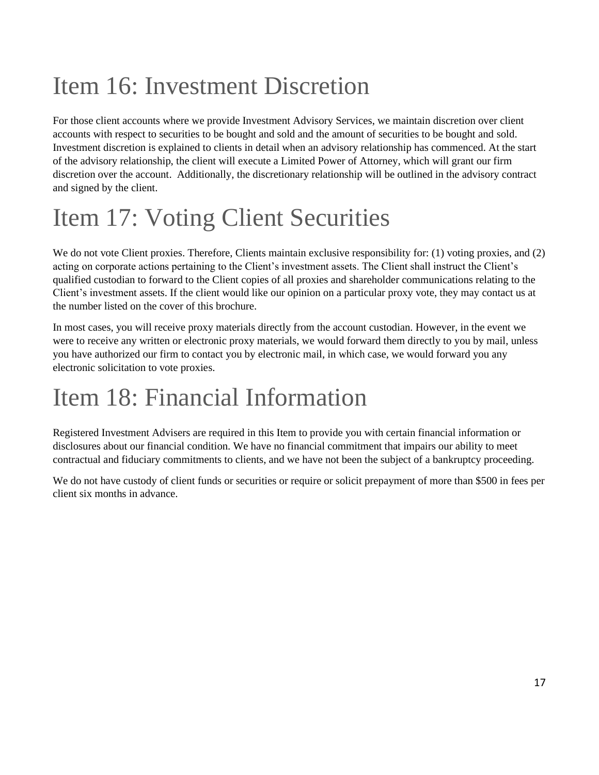# <span id="page-16-0"></span>Item 16: Investment Discretion

For those client accounts where we provide Investment Advisory Services, we maintain discretion over client accounts with respect to securities to be bought and sold and the amount of securities to be bought and sold. Investment discretion is explained to clients in detail when an advisory relationship has commenced. At the start of the advisory relationship, the client will execute a Limited Power of Attorney, which will grant our firm discretion over the account. Additionally, the discretionary relationship will be outlined in the advisory contract and signed by the client.

# <span id="page-16-1"></span>Item 17: Voting Client Securities

We do not vote Client proxies. Therefore, Clients maintain exclusive responsibility for: (1) voting proxies, and (2) acting on corporate actions pertaining to the Client's investment assets. The Client shall instruct the Client's qualified custodian to forward to the Client copies of all proxies and shareholder communications relating to the Client's investment assets. If the client would like our opinion on a particular proxy vote, they may contact us at the number listed on the cover of this brochure.

In most cases, you will receive proxy materials directly from the account custodian. However, in the event we were to receive any written or electronic proxy materials, we would forward them directly to you by mail, unless you have authorized our firm to contact you by electronic mail, in which case, we would forward you any electronic solicitation to vote proxies.

## <span id="page-16-2"></span>Item 18: Financial Information

Registered Investment Advisers are required in this Item to provide you with certain financial information or disclosures about our financial condition. We have no financial commitment that impairs our ability to meet contractual and fiduciary commitments to clients, and we have not been the subject of a bankruptcy proceeding.

We do not have custody of client funds or securities or require or solicit prepayment of more than \$500 in fees per client six months in advance.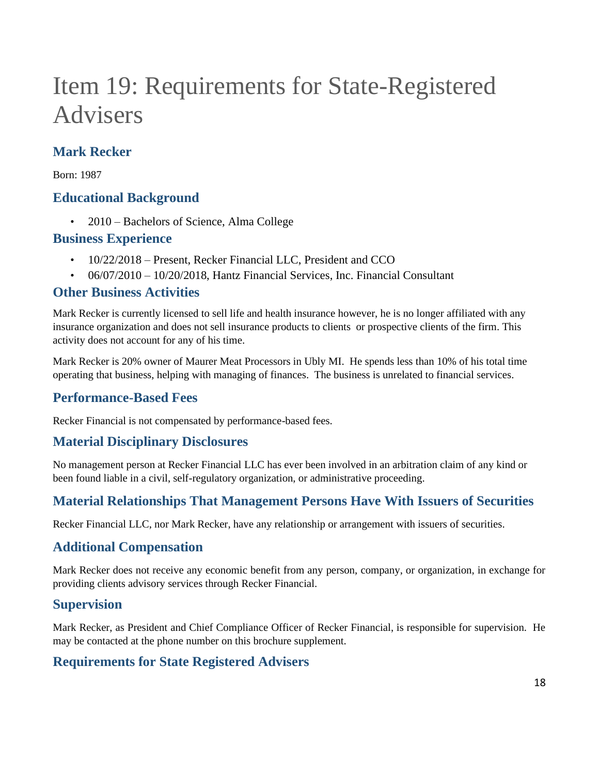## <span id="page-17-0"></span>Item 19: Requirements for State-Registered Advisers

### **Mark Recker**

Born: 1987

### **Educational Background**

• 2010 – Bachelors of Science, Alma College

### **Business Experience**

- 10/22/2018 Present, Recker Financial LLC, President and CCO
- 06/07/2010 10/20/2018, Hantz Financial Services, Inc. Financial Consultant

#### **Other Business Activities**

Mark Recker is currently licensed to sell life and health insurance however, he is no longer affiliated with any insurance organization and does not sell insurance products to clients or prospective clients of the firm. This activity does not account for any of his time.

Mark Recker is 20% owner of Maurer Meat Processors in Ubly MI. He spends less than 10% of his total time operating that business, helping with managing of finances. The business is unrelated to financial services.

### **Performance-Based Fees**

Recker Financial is not compensated by performance-based fees.

#### **Material Disciplinary Disclosures**

No management person at Recker Financial LLC has ever been involved in an arbitration claim of any kind or been found liable in a civil, self-regulatory organization, or administrative proceeding.

### **Material Relationships That Management Persons Have With Issuers of Securities**

Recker Financial LLC, nor Mark Recker, have any relationship or arrangement with issuers of securities.

### **Additional Compensation**

Mark Recker does not receive any economic benefit from any person, company, or organization, in exchange for providing clients advisory services through Recker Financial.

#### **Supervision**

Mark Recker, as President and Chief Compliance Officer of Recker Financial, is responsible for supervision. He may be contacted at the phone number on this brochure supplement.

### **Requirements for State Registered Advisers**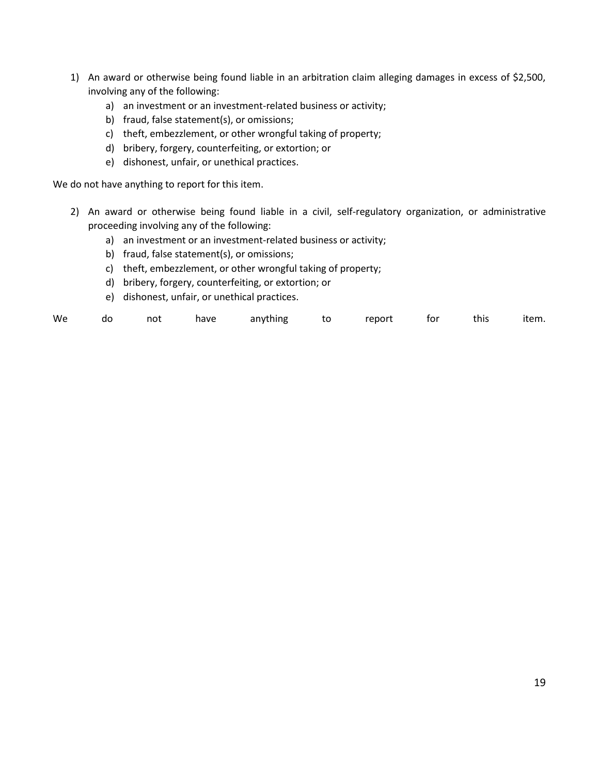- 1) An award or otherwise being found liable in an arbitration claim alleging damages in excess of \$2,500, involving any of the following:
	- a) an investment or an investment-related business or activity;
	- b) fraud, false statement(s), or omissions;
	- c) theft, embezzlement, or other wrongful taking of property;
	- d) bribery, forgery, counterfeiting, or extortion; or
	- e) dishonest, unfair, or unethical practices.

We do not have anything to report for this item.

- 2) An award or otherwise being found liable in a civil, self-regulatory organization, or administrative proceeding involving any of the following:
	- a) an investment or an investment-related business or activity;
	- b) fraud, false statement(s), or omissions;
	- c) theft, embezzlement, or other wrongful taking of property;
	- d) bribery, forgery, counterfeiting, or extortion; or
	- e) dishonest, unfair, or unethical practices.

| We |  | do not |  | have anything to report |  |  |  | for this item. |  |
|----|--|--------|--|-------------------------|--|--|--|----------------|--|
|----|--|--------|--|-------------------------|--|--|--|----------------|--|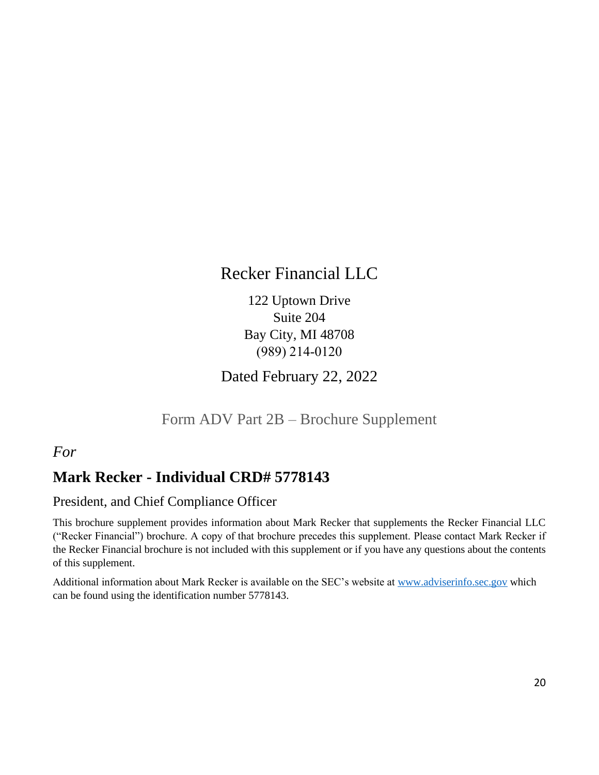## Recker Financial LLC

122 Uptown Drive Suite 204 Bay City, MI 48708 (989) 214‑0120

Dated February 22, 2022

Form ADV Part 2B – Brochure Supplement

### <span id="page-19-0"></span>*For*

## **Mark Recker - Individual CRD# 5778143**

### President, and Chief Compliance Officer

This brochure supplement provides information about Mark Recker that supplements the Recker Financial LLC ("Recker Financial") brochure. A copy of that brochure precedes this supplement. Please contact Mark Recker if the Recker Financial brochure is not included with this supplement or if you have any questions about the contents of this supplement.

Additional information about Mark Recker is available on the SEC's website at [www.adviserinfo.sec.gov](http://www.adviserinfo.sec.gov/) which can be found using the identification number 5778143.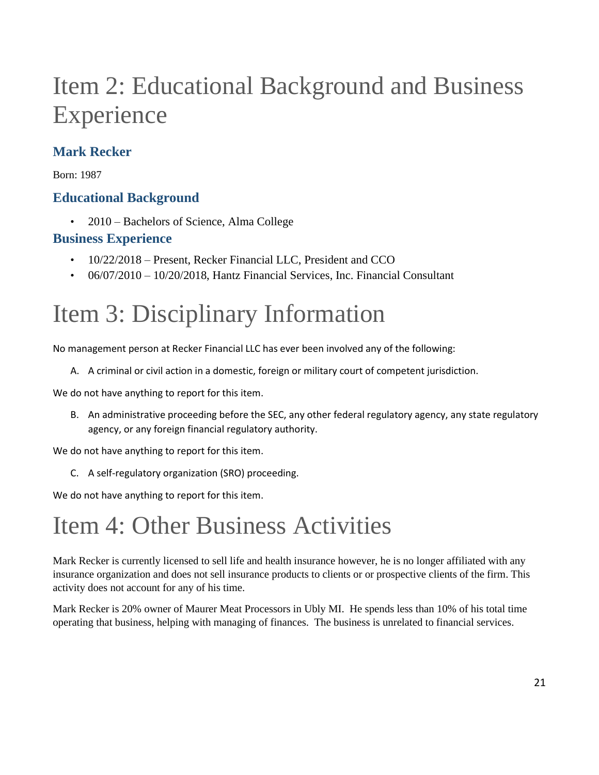## Item 2: Educational Background and Business Experience

## **Mark Recker**

Born: 1987

### **Educational Background**

• 2010 – Bachelors of Science, Alma College

### **Business Experience**

- 10/22/2018 Present, Recker Financial LLC, President and CCO
- 06/07/2010 10/20/2018, Hantz Financial Services, Inc. Financial Consultant

## Item 3: Disciplinary Information

No management person at Recker Financial LLC has ever been involved any of the following:

A. A criminal or civil action in a domestic, foreign or military court of competent jurisdiction.

We do not have anything to report for this item.

B. An administrative proceeding before the SEC, any other federal regulatory agency, any state regulatory agency, or any foreign financial regulatory authority.

We do not have anything to report for this item.

C. A self-regulatory organization (SRO) proceeding.

We do not have anything to report for this item.

## Item 4: Other Business Activities

Mark Recker is currently licensed to sell life and health insurance however, he is no longer affiliated with any insurance organization and does not sell insurance products to clients or or prospective clients of the firm. This activity does not account for any of his time.

Mark Recker is 20% owner of Maurer Meat Processors in Ubly MI. He spends less than 10% of his total time operating that business, helping with managing of finances. The business is unrelated to financial services.